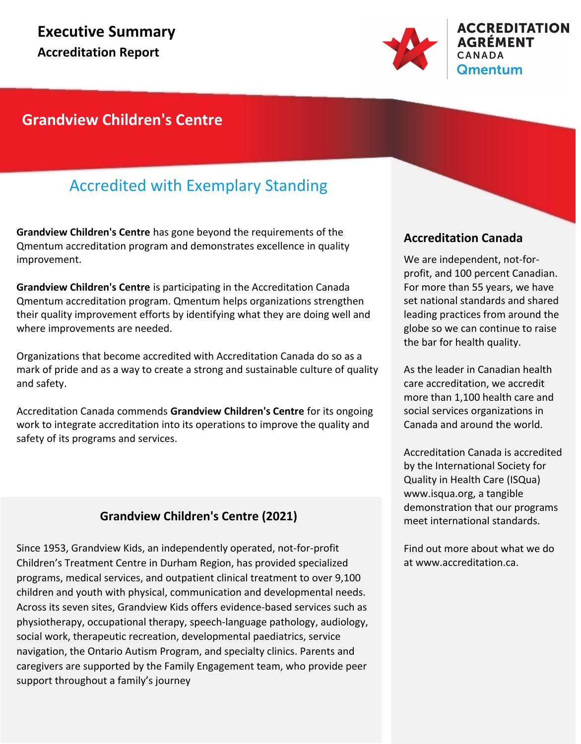

### **Grandview Children's Centre**

### Accredited with Exemplary Standing

**Grandview Children's Centre** has gone beyond the requirements of the Qmentum accreditation program and demonstrates excellence in quality improvement.

**Grandview Children's Centre** is participating in the Accreditation Canada Qmentum accreditation program. Qmentum helps organizations strengthen their quality improvement efforts by identifying what they are doing well and where improvements are needed.

Organizations that become accredited with Accreditation Canada do so as a mark of pride and as a way to create a strong and sustainable culture of quality and safety.

Accreditation Canada commends **Grandview Children's Centre** for its ongoing work to integrate accreditation into its operations to improve the quality and safety of its programs and services.

### **Grandview Children's Centre (2021)**

Since 1953, Grandview Kids, an independently operated, not-for-profit Children's Treatment Centre in Durham Region, has provided specialized programs, medical services, and outpatient clinical treatment to over 9,100 children and youth with physical, communication and developmental needs. Across its seven sites, Grandview Kids offers evidence-based services such as physiotherapy, occupational therapy, speech-language pathology, audiology, social work, therapeutic recreation, developmental paediatrics, service navigation, the Ontario Autism Program, and specialty clinics. Parents and caregivers are supported by the Family Engagement team, who provide peer support throughout a family's journey

### **Accreditation Canada**

We are independent, not-forprofit, and 100 percent Canadian. For more than 55 years, we have set national standards and shared leading practices from around the globe so we can continue to raise the bar for health quality.

As the leader in Canadian health care accreditation, we accredit more than 1,100 health care and social services organizations in Canada and around the world.

Accreditation Canada is accredited by the International Society for Quality in Health Care (ISQua) www.isqua.org, a tangible demonstration that our programs meet international standards.

Find out more about what we do at www.accreditation.ca.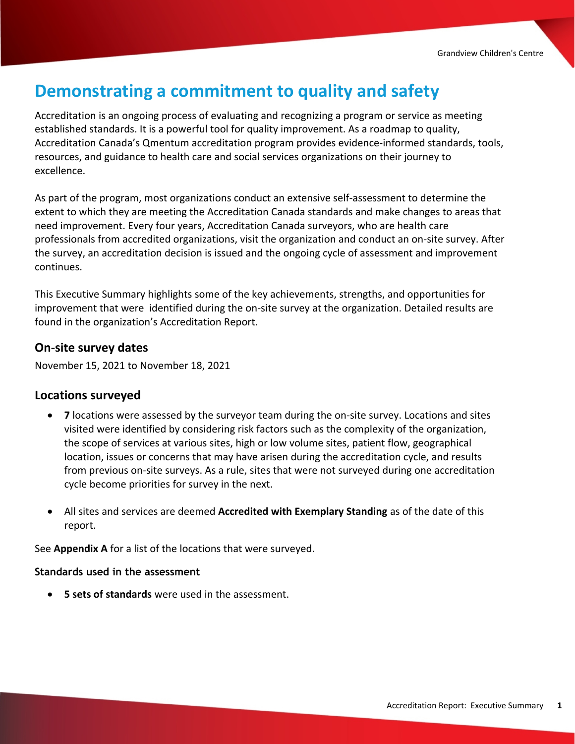## **Demonstrating a commitment to quality and safety**

Accreditation is an ongoing process of evaluating and recognizing a program or service as meeting established standards. It is a powerful tool for quality improvement. As a roadmap to quality, Accreditation Canada's Qmentum accreditation program provides evidence-informed standards, tools, resources, and guidance to health care and social services organizations on their journey to excellence.

As part of the program, most organizations conduct an extensive self-assessment to determine the extent to which they are meeting the Accreditation Canada standards and make changes to areas that need improvement. Every four years, Accreditation Canada surveyors, who are health care professionals from accredited organizations, visit the organization and conduct an on-site survey. After the survey, an accreditation decision is issued and the ongoing cycle of assessment and improvement continues.

This Executive Summary highlights some of the key achievements, strengths, and opportunities for improvement that were identified during the on-site survey at the organization. Detailed results are found in the organization's Accreditation Report.

#### **On-site survey dates**

November 15, 2021 to November 18, 2021

#### **Locations surveyed**

- · **7** locations were assessed by the surveyor team during the on-site survey. Locations and sites visited were identified by considering risk factors such as the complexity of the organization, the scope of services at various sites, high or low volume sites, patient flow, geographical location, issues or concerns that may have arisen during the accreditation cycle, and results from previous on-site surveys. As a rule, sites that were not surveyed during one accreditation cycle become priorities for survey in the next.
- · All sites and services are deemed **Accredited with Exemplary Standing** as of the date of this report.

See **Appendix A** for a list of the locations that were surveyed.

#### **Standards used in the assessment**

· **5 sets of standards** were used in the assessment.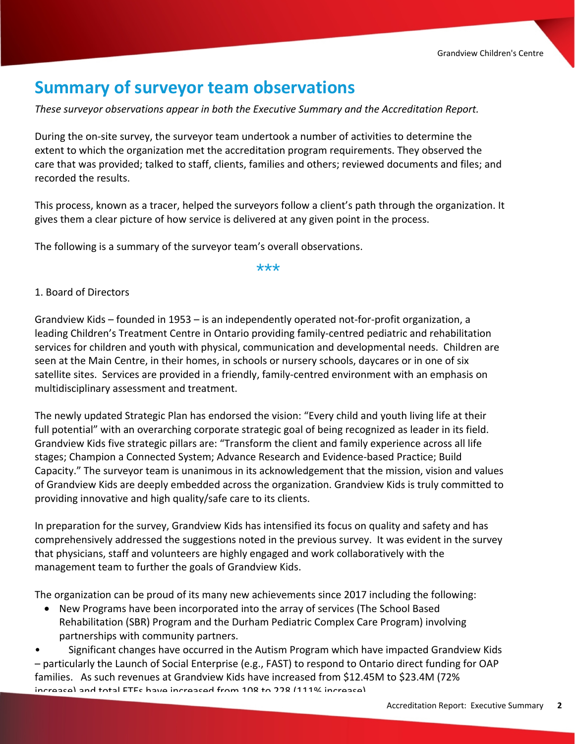## **Summary of surveyor team observations**

*These surveyor observations appear in both the Executive Summary and the Accreditation Report.*

During the on-site survey, the surveyor team undertook a number of activities to determine the extent to which the organization met the accreditation program requirements. They observed the care that was provided; talked to staff, clients, families and others; reviewed documents and files; and recorded the results.

This process, known as a tracer, helped the surveyors follow a client's path through the organization. It gives them a clear picture of how service is delivered at any given point in the process.

The following is a summary of the surveyor team's overall observations.

\*\*\*

#### 1. Board of Directors

Grandview Kids – founded in 1953 – is an independently operated not-for-profit organization, a leading Children's Treatment Centre in Ontario providing family-centred pediatric and rehabilitation services for children and youth with physical, communication and developmental needs. Children are seen at the Main Centre, in their homes, in schools or nursery schools, daycares or in one of six satellite sites. Services are provided in a friendly, family-centred environment with an emphasis on multidisciplinary assessment and treatment.

The newly updated Strategic Plan has endorsed the vision: "Every child and youth living life at their full potential" with an overarching corporate strategic goal of being recognized as leader in its field. Grandview Kids five strategic pillars are: "Transform the client and family experience across all life stages; Champion a Connected System; Advance Research and Evidence-based Practice; Build Capacity." The surveyor team is unanimous in its acknowledgement that the mission, vision and values of Grandview Kids are deeply embedded across the organization. Grandview Kids is truly committed to providing innovative and high quality/safe care to its clients.

In preparation for the survey, Grandview Kids has intensified its focus on quality and safety and has comprehensively addressed the suggestions noted in the previous survey. It was evident in the survey that physicians, staff and volunteers are highly engaged and work collaboratively with the management team to further the goals of Grandview Kids.

The organization can be proud of its many new achievements since 2017 including the following:

• New Programs have been incorporated into the array of services (The School Based Rehabilitation (SBR) Program and the Durham Pediatric Complex Care Program) involving partnerships with community partners.

• Significant changes have occurred in the Autism Program which have impacted Grandview Kids – particularly the Launch of Social Enterprise (e.g., FAST) to respond to Ontario direct funding for OAP increase) and total FTEs have increased from 108 to 228 (111% increase). families. As such revenues at Grandview Kids have increased from \$12.45M to \$23.4M (72%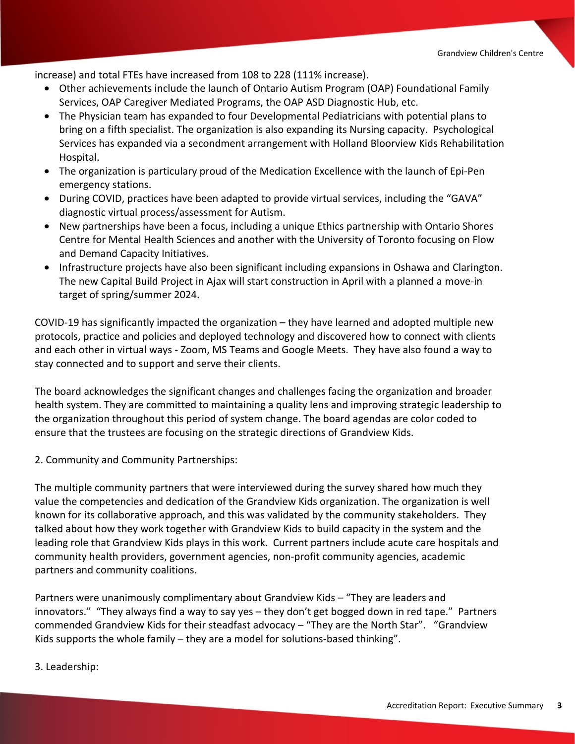increase) and total FTEs have increased from 108 to 228 (111% increase).

- Other achievements include the launch of Ontario Autism Program (OAP) Foundational Family Services, OAP Caregiver Mediated Programs, the OAP ASD Diagnostic Hub, etc.
- The Physician team has expanded to four Developmental Pediatricians with potential plans to bring on a fifth specialist. The organization is also expanding its Nursing capacity. Psychological Services has expanded via a secondment arrangement with Holland Bloorview Kids Rehabilitation Hospital.
- The organization is particulary proud of the Medication Excellence with the launch of Epi-Pen emergency stations.
- During COVID, practices have been adapted to provide virtual services, including the "GAVA" diagnostic virtual process/assessment for Autism.
- New partnerships have been a focus, including a unique Ethics partnership with Ontario Shores Centre for Mental Health Sciences and another with the University of Toronto focusing on Flow and Demand Capacity Initiatives.
- Infrastructure projects have also been significant including expansions in Oshawa and Clarington. The new Capital Build Project in Ajax will start construction in April with a planned a move-in target of spring/summer 2024.

COVID-19 has significantly impacted the organization – they have learned and adopted multiple new protocols, practice and policies and deployed technology and discovered how to connect with clients and each other in virtual ways - Zoom, MS Teams and Google Meets. They have also found a way to stay connected and to support and serve their clients.

The board acknowledges the significant changes and challenges facing the organization and broader health system. They are committed to maintaining a quality lens and improving strategic leadership to the organization throughout this period of system change. The board agendas are color coded to ensure that the trustees are focusing on the strategic directions of Grandview Kids.

2. Community and Community Partnerships:

The multiple community partners that were interviewed during the survey shared how much they value the competencies and dedication of the Grandview Kids organization. The organization is well known for its collaborative approach, and this was validated by the community stakeholders. They talked about how they work together with Grandview Kids to build capacity in the system and the leading role that Grandview Kids plays in this work. Current partners include acute care hospitals and community health providers, government agencies, non-profit community agencies, academic partners and community coalitions.

Partners were unanimously complimentary about Grandview Kids – "They are leaders and innovators." "They always find a way to say yes – they don't get bogged down in red tape." Partners commended Grandview Kids for their steadfast advocacy – "They are the North Star". "Grandview Kids supports the whole family – they are a model for solutions-based thinking".

The organization is viewed as a leader in the community. The community is viewed to continue to raise awareness of

3. Leadership: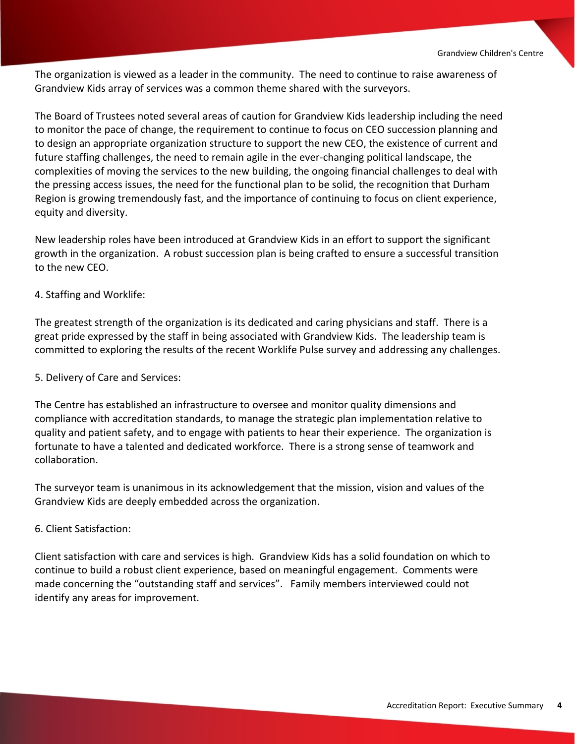The organization is viewed as a leader in the community. The need to continue to raise awareness of Grandview Kids array of services was a common theme shared with the surveyors.

The Board of Trustees noted several areas of caution for Grandview Kids leadership including the need to monitor the pace of change, the requirement to continue to focus on CEO succession planning and to design an appropriate organization structure to support the new CEO, the existence of current and future staffing challenges, the need to remain agile in the ever-changing political landscape, the complexities of moving the services to the new building, the ongoing financial challenges to deal with the pressing access issues, the need for the functional plan to be solid, the recognition that Durham Region is growing tremendously fast, and the importance of continuing to focus on client experience, equity and diversity.

New leadership roles have been introduced at Grandview Kids in an effort to support the significant growth in the organization. A robust succession plan is being crafted to ensure a successful transition to the new CEO.

#### 4. Staffing and Worklife:

The greatest strength of the organization is its dedicated and caring physicians and staff. There is a great pride expressed by the staff in being associated with Grandview Kids. The leadership team is committed to exploring the results of the recent Worklife Pulse survey and addressing any challenges.

#### 5. Delivery of Care and Services:

The Centre has established an infrastructure to oversee and monitor quality dimensions and compliance with accreditation standards, to manage the strategic plan implementation relative to quality and patient safety, and to engage with patients to hear their experience. The organization is fortunate to have a talented and dedicated workforce. There is a strong sense of teamwork and collaboration.

The surveyor team is unanimous in its acknowledgement that the mission, vision and values of the Grandview Kids are deeply embedded across the organization.

#### 6. Client Satisfaction:

Client satisfaction with care and services is high. Grandview Kids has a solid foundation on which to continue to build a robust client experience, based on meaningful engagement. Comments were made concerning the "outstanding staff and services". Family members interviewed could not identify any areas for improvement.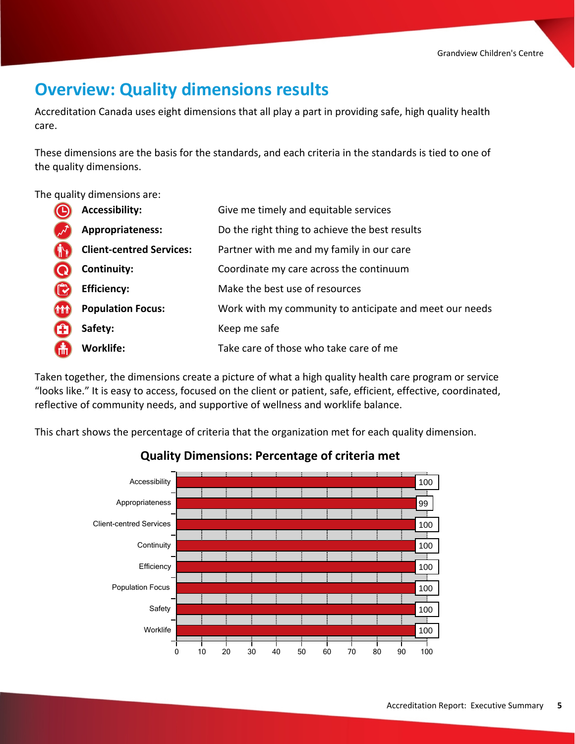## **Overview: Quality dimensions results**

Accreditation Canada uses eight dimensions that all play a part in providing safe, high quality health care.

These dimensions are the basis for the standards, and each criteria in the standards is tied to one of the quality dimensions.

The quality dimensions are:

|            | <b>Accessibility:</b>           | Give me timely and equitable services                   |
|------------|---------------------------------|---------------------------------------------------------|
|            | Appropriateness:                | Do the right thing to achieve the best results          |
|            | <b>Client-centred Services:</b> | Partner with me and my family in our care               |
|            | Continuity:                     | Coordinate my care across the continuum                 |
|            | <b>Efficiency:</b>              | Make the best use of resources                          |
| <b>THT</b> | <b>Population Focus:</b>        | Work with my community to anticipate and meet our needs |
|            | Safety:                         | Keep me safe                                            |
| 偳          | <b>Worklife:</b>                | Take care of those who take care of me                  |

Taken together, the dimensions create a picture of what a high quality health care program or service "looks like." It is easy to access, focused on the client or patient, safe, efficient, effective, coordinated, reflective of community needs, and supportive of wellness and worklife balance.

This chart shows the percentage of criteria that the organization met for each quality dimension.



### **Quality Dimensions: Percentage of criteria met**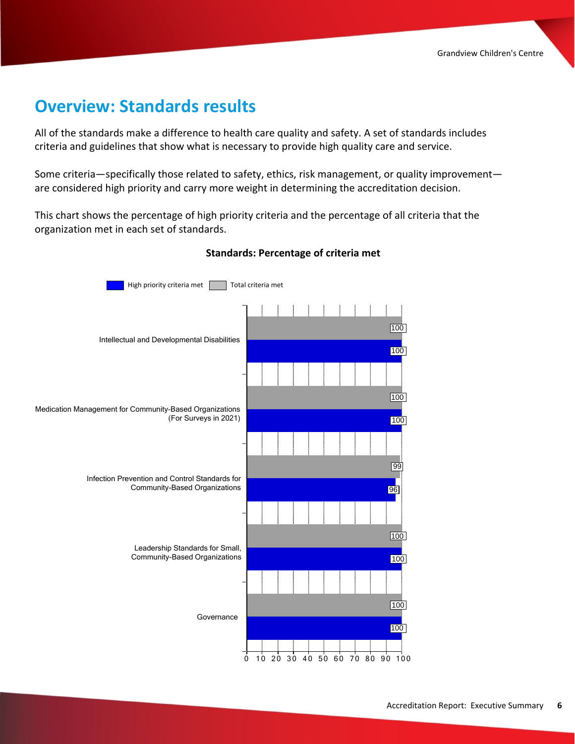### **Overview: Standards results**

All of the standards make a difference to health care quality and safety. A set of standards includes criteria and guidelines that show what is necessary to provide high quality care and service.

Some criteria—specifically those related to safety, ethics, risk management, or quality improvement are considered high priority and carry more weight in determining the accreditation decision.

This chart shows the percentage of high priority criteria and the percentage of all criteria that the organization met in each set of standards.



#### **Standards: Percentage of criteria met**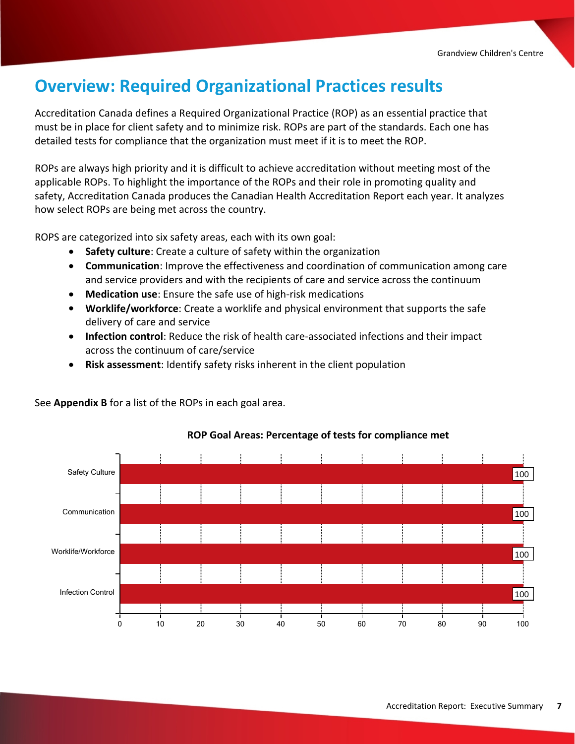## **Overview: Required Organizational Practices results**

Accreditation Canada defines a Required Organizational Practice (ROP) as an essential practice that must be in place for client safety and to minimize risk. ROPs are part of the standards. Each one has detailed tests for compliance that the organization must meet if it is to meet the ROP.

ROPs are always high priority and it is difficult to achieve accreditation without meeting most of the applicable ROPs. To highlight the importance of the ROPs and their role in promoting quality and safety, Accreditation Canada produces the Canadian Health Accreditation Report each year. It analyzes how select ROPs are being met across the country.

ROPS are categorized into six safety areas, each with its own goal:

See **Appendix B** for a list of the ROPs in each goal area.

- · **Safety culture**: Create a culture of safety within the organization
- · **Communication**: Improve the effectiveness and coordination of communication among care and service providers and with the recipients of care and service across the continuum
- · **Medication use**: Ensure the safe use of high-risk medications
- · **Worklife/workforce**: Create a worklife and physical environment that supports the safe delivery of care and service
- · **Infection control**: Reduce the risk of health care-associated infections and their impact across the continuum of care/service
- · **Risk assessment**: Identify safety risks inherent in the client population

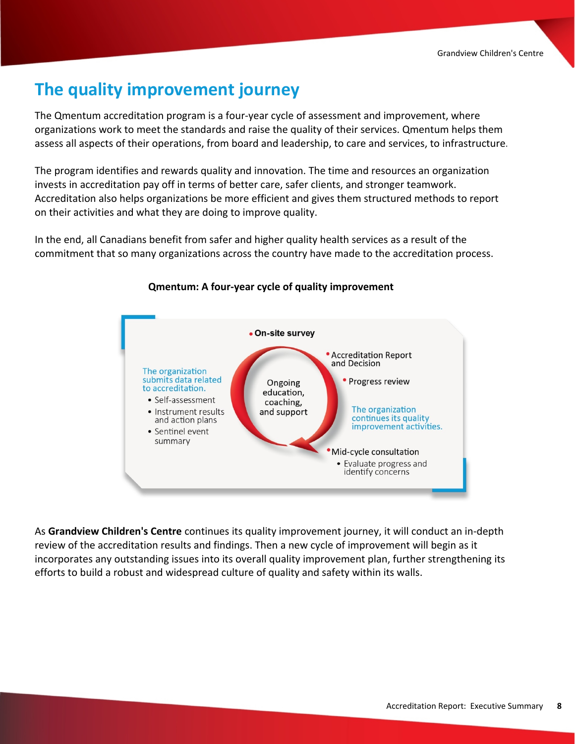## **The quality improvement journey**

The Qmentum accreditation program is a four-year cycle of assessment and improvement, where organizations work to meet the standards and raise the quality of their services. Qmentum helps them assess all aspects of their operations, from board and leadership, to care and services, to infrastructure.

The program identifies and rewards quality and innovation. The time and resources an organization invests in accreditation pay off in terms of better care, safer clients, and stronger teamwork. Accreditation also helps organizations be more efficient and gives them structured methods to report on their activities and what they are doing to improve quality.

In the end, all Canadians benefit from safer and higher quality health services as a result of the commitment that so many organizations across the country have made to the accreditation process.



#### **Qmentum: A four-year cycle of quality improvement**

As **Grandview Children's Centre** continues its quality improvement journey, it will conduct an in-depth review of the accreditation results and findings. Then a new cycle of improvement will begin as it incorporates any outstanding issues into its overall quality improvement plan, further strengthening its efforts to build a robust and widespread culture of quality and safety within its walls.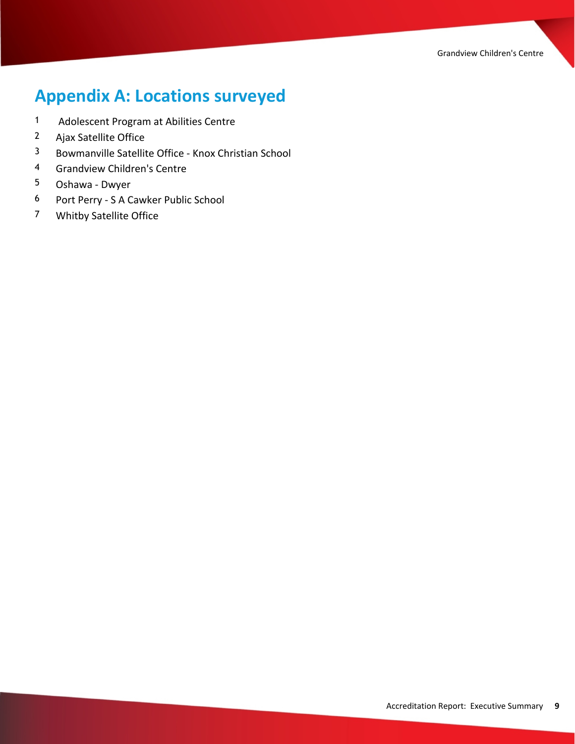# **Appendix A: Locations surveyed**

- Adolescent Program at Abilities Centre
- Ajax Satellite Office
- Bowmanville Satellite Office Knox Christian School
- Grandview Children's Centre
- Oshawa Dwyer
- Port Perry S A Cawker Public School
- Whitby Satellite Office